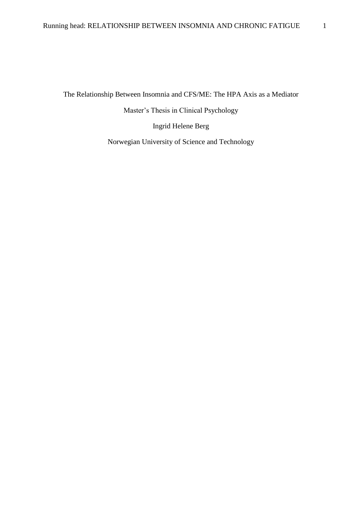The Relationship Between Insomnia and CFS/ME: The HPA Axis as a Mediator

Master's Thesis in Clinical Psychology

Ingrid Helene Berg

Norwegian University of Science and Technology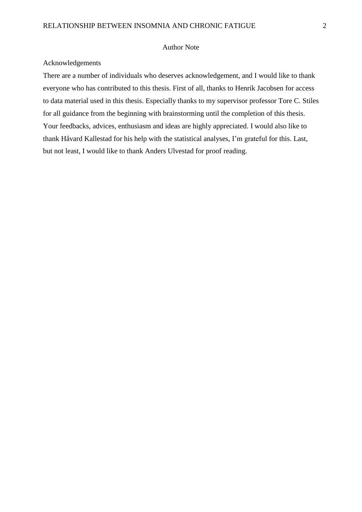### Author Note

### Acknowledgements

There are a number of individuals who deserves acknowledgement, and I would like to thank everyone who has contributed to this thesis. First of all, thanks to Henrik Jacobsen for access to data material used in this thesis. Especially thanks to my supervisor professor Tore C. Stiles for all guidance from the beginning with brainstorming until the completion of this thesis. Your feedbacks, advices, enthusiasm and ideas are highly appreciated. I would also like to thank Håvard Kallestad for his help with the statistical analyses, I'm grateful for this. Last, but not least, I would like to thank Anders Ulvestad for proof reading.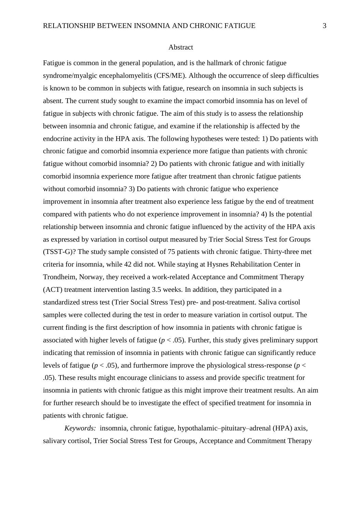#### Abstract

Fatigue is common in the general population, and is the hallmark of chronic fatigue syndrome/myalgic encephalomyelitis (CFS/ME). Although the occurrence of sleep difficulties is known to be common in subjects with fatigue, research on insomnia in such subjects is absent. The current study sought to examine the impact comorbid insomnia has on level of fatigue in subjects with chronic fatigue. The aim of this study is to assess the relationship between insomnia and chronic fatigue, and examine if the relationship is affected by the endocrine activity in the HPA axis. The following hypotheses were tested: 1) Do patients with chronic fatigue and comorbid insomnia experience more fatigue than patients with chronic fatigue without comorbid insomnia? 2) Do patients with chronic fatigue and with initially comorbid insomnia experience more fatigue after treatment than chronic fatigue patients without comorbid insomnia? 3) Do patients with chronic fatigue who experience improvement in insomnia after treatment also experience less fatigue by the end of treatment compared with patients who do not experience improvement in insomnia? 4) Is the potential relationship between insomnia and chronic fatigue influenced by the activity of the HPA axis as expressed by variation in cortisol output measured by Trier Social Stress Test for Groups (TSST-G)? The study sample consisted of 75 patients with chronic fatigue. Thirty-three met criteria for insomnia, while 42 did not. While staying at Hysnes Rehabilitation Center in Trondheim, Norway, they received a work-related Acceptance and Commitment Therapy (ACT) treatment intervention lasting 3.5 weeks. In addition, they participated in a standardized stress test (Trier Social Stress Test) pre- and post-treatment. Saliva cortisol samples were collected during the test in order to measure variation in cortisol output. The current finding is the first description of how insomnia in patients with chronic fatigue is associated with higher levels of fatigue  $(p < .05)$ . Further, this study gives preliminary support indicating that remission of insomnia in patients with chronic fatigue can significantly reduce levels of fatigue ( $p < .05$ ), and furthermore improve the physiological stress-response ( $p <$ .05). These results might encourage clinicians to assess and provide specific treatment for insomnia in patients with chronic fatigue as this might improve their treatment results. An aim for further research should be to investigate the effect of specified treatment for insomnia in patients with chronic fatigue.

*Keywords:* insomnia, chronic fatigue, hypothalamic–pituitary–adrenal (HPA) axis, salivary cortisol, Trier Social Stress Test for Groups, Acceptance and Commitment Therapy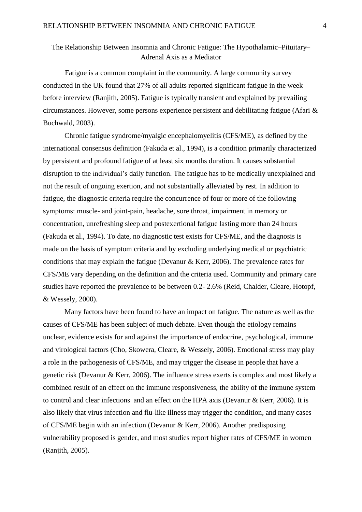# The Relationship Between Insomnia and Chronic Fatigue: The Hypothalamic–Pituitary– Adrenal Axis as a Mediator

Fatigue is a common complaint in the community. A large community survey conducted in the UK found that 27% of all adults reported significant fatigue in the week before interview (Ranjith, 2005). Fatigue is typically transient and explained by prevailing circumstances. However, some persons experience persistent and debilitating fatigue (Afari & Buchwald, 2003).

Chronic fatigue syndrome/myalgic encephalomyelitis (CFS/ME), as defined by the international consensus definition (Fakuda et al., 1994), is a condition primarily characterized by persistent and profound fatigue of at least six months duration. It causes substantial disruption to the individual's daily function. The fatigue has to be medically unexplained and not the result of ongoing exertion, and not substantially alleviated by rest. In addition to fatigue, the diagnostic criteria require the concurrence of four or more of the following symptoms: muscle- and joint-pain, headache, sore throat, impairment in memory or concentration, unrefreshing sleep and postexertional fatigue lasting more than 24 hours (Fakuda et al., 1994). To date, no diagnostic test exists for CFS/ME, and the diagnosis is made on the basis of symptom criteria and by excluding underlying medical or psychiatric conditions that may explain the fatigue (Devanur & Kerr, 2006). The prevalence rates for CFS/ME vary depending on the definition and the criteria used. Community and primary care studies have reported the prevalence to be between 0.2- 2.6% (Reid, Chalder, Cleare, Hotopf, & Wessely, 2000).

Many factors have been found to have an impact on fatigue. The nature as well as the causes of CFS/ME has been subject of much debate. Even though the etiology remains unclear, evidence exists for and against the importance of endocrine, psychological, immune and virological factors (Cho, Skowera, Cleare, & Wessely, 2006). Emotional stress may play a role in the pathogenesis of CFS/ME, and may trigger the disease in people that have a genetic risk (Devanur & Kerr, 2006). The influence stress exerts is complex and most likely a combined result of an effect on the immune responsiveness, the ability of the immune system to control and clear infections and an effect on the HPA axis (Devanur & Kerr, 2006). It is also likely that virus infection and flu-like illness may trigger the condition, and many cases of CFS/ME begin with an infection (Devanur & Kerr, 2006). Another predisposing vulnerability proposed is gender, and most studies report higher rates of CFS/ME in women (Ranjith, 2005).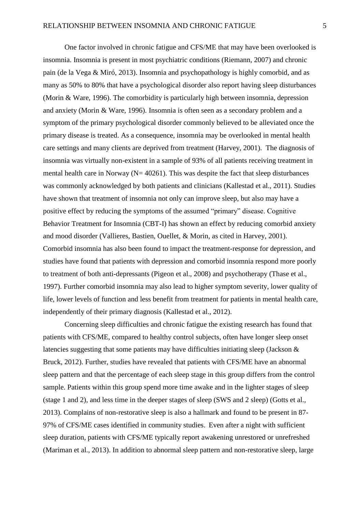One factor involved in chronic fatigue and CFS/ME that may have been overlooked is insomnia. Insomnia is present in most psychiatric conditions (Riemann, 2007) and chronic pain (de la Vega & Miró, 2013). Insomnia and psychopathology is highly comorbid, and as many as 50% to 80% that have a psychological disorder also report having sleep disturbances (Morin & Ware, 1996). The comorbidity is particularly high between insomnia, depression and anxiety (Morin & Ware, 1996). Insomnia is often seen as a secondary problem and a symptom of the primary psychological disorder commonly believed to be alleviated once the primary disease is treated. As a consequence, insomnia may be overlooked in mental health care settings and many clients are deprived from treatment (Harvey, 2001). The diagnosis of insomnia was virtually non-existent in a sample of 93% of all patients receiving treatment in mental health care in Norway ( $N= 40261$ ). This was despite the fact that sleep disturbances was commonly acknowledged by both patients and clinicians (Kallestad et al., 2011). Studies have shown that treatment of insomnia not only can improve sleep, but also may have a positive effect by reducing the symptoms of the assumed "primary" disease. Cognitive Behavior Treatment for Insomnia (CBT-I) has shown an effect by reducing comorbid anxiety and mood disorder (Vallieres, Bastien, Ouellet, & Morin, as cited in Harvey, 2001). Comorbid insomnia has also been found to impact the treatment-response for depression, and studies have found that patients with depression and comorbid insomnia respond more poorly to treatment of both anti-depressants (Pigeon et al., 2008) and psychotherapy (Thase et al., 1997). Further comorbid insomnia may also lead to higher symptom severity, lower quality of life, lower levels of function and less benefit from treatment for patients in mental health care, independently of their primary diagnosis (Kallestad et al., 2012).

Concerning sleep difficulties and chronic fatigue the existing research has found that patients with CFS/ME, compared to healthy control subjects, often have longer sleep onset latencies suggesting that some patients may have difficulties initiating sleep (Jackson & Bruck, 2012). Further, studies have revealed that patients with CFS/ME have an abnormal sleep pattern and that the percentage of each sleep stage in this group differs from the control sample. Patients within this group spend more time awake and in the lighter stages of sleep (stage 1 and 2), and less time in the deeper stages of sleep (SWS and 2 sleep) (Gotts et al., 2013). Complains of non-restorative sleep is also a hallmark and found to be present in 87- 97% of CFS/ME cases identified in community studies. Even after a night with sufficient sleep duration, patients with CFS/ME typically report awakening unrestored or unrefreshed (Mariman et al., 2013). In addition to abnormal sleep pattern and non-restorative sleep, large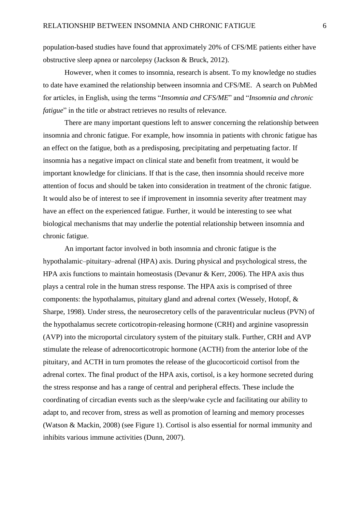population-based studies have found that approximately 20% of CFS/ME patients either have obstructive sleep apnea or narcolepsy (Jackson & Bruck, 2012).

However, when it comes to insomnia, research is absent. To my knowledge no studies to date have examined the relationship between insomnia and CFS/ME. A search on PubMed for articles, in English, using the terms "*Insomnia and CFS/ME*" and "*Insomnia and chronic fatigue*" in the title or abstract retrieves no results of relevance.

There are many important questions left to answer concerning the relationship between insomnia and chronic fatigue. For example, how insomnia in patients with chronic fatigue has an effect on the fatigue, both as a predisposing, precipitating and perpetuating factor. If insomnia has a negative impact on clinical state and benefit from treatment, it would be important knowledge for clinicians. If that is the case, then insomnia should receive more attention of focus and should be taken into consideration in treatment of the chronic fatigue. It would also be of interest to see if improvement in insomnia severity after treatment may have an effect on the experienced fatigue. Further, it would be interesting to see what biological mechanisms that may underlie the potential relationship between insomnia and chronic fatigue.

An important factor involved in both insomnia and chronic fatigue is the hypothalamic–pituitary–adrenal (HPA) axis. During physical and psychological stress, the HPA axis functions to maintain homeostasis (Devanur & Kerr, 2006). The HPA axis thus plays a central role in the human stress response. The HPA axis is comprised of three components: the hypothalamus, pituitary gland and adrenal cortex (Wessely, Hotopf, & Sharpe, 1998). Under stress, the neurosecretory cells of the paraventricular nucleus (PVN) of the hypothalamus secrete corticotropin-releasing hormone (CRH) and arginine vasopressin (AVP) into the microportal circulatory system of the pituitary stalk. Further, CRH and AVP stimulate the release of adrenocorticotropic hormone (ACTH) from the anterior lobe of the pituitary, and ACTH in turn promotes the release of the glucocorticoid cortisol from the adrenal cortex. The final product of the HPA axis, cortisol, is a key hormone secreted during the stress response and has a range of central and peripheral effects. These include the coordinating of circadian events such as the sleep/wake cycle and facilitating our ability to adapt to, and recover from, stress as well as promotion of learning and memory processes (Watson & Mackin, 2008) (see Figure 1). Cortisol is also essential for normal immunity and inhibits various immune activities (Dunn, 2007).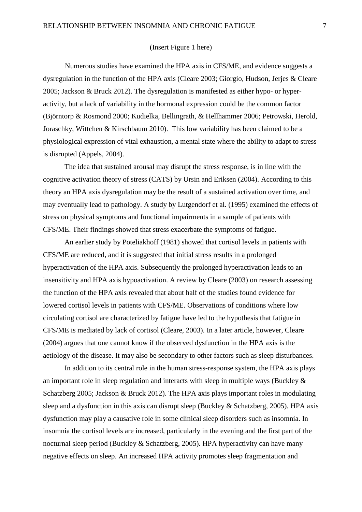## (Insert Figure 1 here)

Numerous studies have examined the HPA axis in CFS/ME, and evidence suggests a dysregulation in the function of the HPA axis (Cleare 2003; Giorgio, Hudson, Jerjes & Cleare 2005; Jackson & Bruck 2012). The dysregulation is manifested as either hypo- or hyperactivity, but a lack of variability in the hormonal expression could be the common factor (Björntorp & Rosmond 2000; Kudielka, Bellingrath, & Hellhammer 2006; Petrowski, Herold, Joraschky, Wittchen & Kirschbaum 2010). This low variability has been claimed to be a physiological expression of vital exhaustion, a mental state where the ability to adapt to stress is disrupted (Appels, 2004).

The idea that sustained arousal may disrupt the stress response, is in line with the cognitive activation theory of stress (CATS) by Ursin and Eriksen (2004). According to this theory an HPA axis dysregulation may be the result of a sustained activation over time, and may eventually lead to pathology. A study by Lutgendorf et al. (1995) examined the effects of stress on physical symptoms and functional impairments in a sample of patients with CFS/ME. Their findings showed that stress exacerbate the symptoms of fatigue.

An earlier study by Poteliakhoff (1981) showed that cortisol levels in patients with CFS/ME are reduced, and it is suggested that initial stress results in a prolonged hyperactivation of the HPA axis. Subsequently the prolonged hyperactivation leads to an insensitivity and HPA axis hypoactivation. A review by Cleare (2003) on research assessing the function of the HPA axis revealed that about half of the studies found evidence for lowered cortisol levels in patients with CFS/ME. Observations of conditions where low circulating cortisol are characterized by fatigue have led to the hypothesis that fatigue in CFS/ME is mediated by lack of cortisol (Cleare, 2003). In a later article, however, Cleare (2004) argues that one cannot know if the observed dysfunction in the HPA axis is the aetiology of the disease. It may also be secondary to other factors such as sleep disturbances.

In addition to its central role in the human stress-response system, the HPA axis plays an important role in sleep regulation and interacts with sleep in multiple ways (Buckley & Schatzberg 2005; Jackson & Bruck 2012). The HPA axis plays important roles in modulating sleep and a dysfunction in this axis can disrupt sleep (Buckley & Schatzberg, 2005). HPA axis dysfunction may play a causative role in some clinical sleep disorders such as insomnia. In insomnia the cortisol levels are increased, particularly in the evening and the first part of the nocturnal sleep period (Buckley & Schatzberg, 2005). HPA hyperactivity can have many negative effects on sleep. An increased HPA activity promotes sleep fragmentation and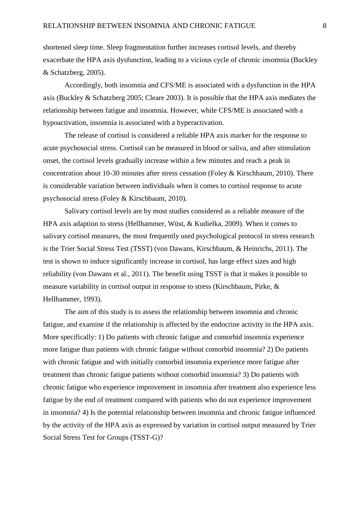shortened sleep time. Sleep fragmentation further increases cortisol levels, and thereby exacerbate the HPA axis dysfunction, leading to a vicious cycle of chronic insomnia (Buckley & Schatzberg, 2005).

Accordingly, both insomnia and CFS/ME is associated with a dysfunction in the HPA axis (Buckley & Schatzberg 2005; Cleare 2003). It is possible that the HPA axis mediates the relationship between fatigue and insomnia. However, while CFS/ME is associated with a hypoactivation, insomnia is associated with a hyperactivation.

The release of cortisol is considered a reliable HPA axis marker for the response to acute psychosocial stress. Cortisol can be measured in blood or saliva, and after stimulation onset, the cortisol levels gradually increase within a few minutes and reach a peak in concentration about 10-30 minutes after stress cessation (Foley & Kirschbaum, 2010). There is considerable variation between individuals when it comes to cortisol response to acute psychosocial stress (Foley & Kirschbaum, 2010).

Salivary cortisol levels are by most studies considered as a reliable measure of the HPA axis adaption to stress (Hellhammer, Wüst, & Kudielka, 2009). When it comes to salivary cortisol measures, the most frequently used psychological protocol in stress research is the Trier Social Stress Test (TSST) (von Dawans, Kirschbaum, & Heinrichs, 2011). The test is shown to induce significantly increase in cortisol, has large effect sizes and high reliability (von Dawans et al., 2011). The benefit using TSST is that it makes it possible to measure variability in cortisol output in response to stress (Kirschbaum, Pirke, & Hellhammer, 1993).

The aim of this study is to assess the relationship between insomnia and chronic fatigue, and examine if the relationship is affected by the endocrine activity in the HPA axis. More specifically: 1) Do patients with chronic fatigue and comorbid insomnia experience more fatigue than patients with chronic fatigue without comorbid insomnia? 2) Do patients with chronic fatigue and with initially comorbid insomnia experience more fatigue after treatment than chronic fatigue patients without comorbid insomnia? 3) Do patients with chronic fatigue who experience improvement in insomnia after treatment also experience less fatigue by the end of treatment compared with patients who do not experience improvement in insomnia? 4) Is the potential relationship between insomnia and chronic fatigue influenced by the activity of the HPA axis as expressed by variation in cortisol output measured by Trier Social Stress Test for Groups (TSST-G)?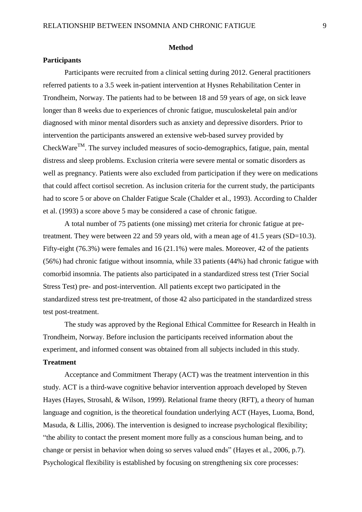### **Method**

### **Participants**

Participants were recruited from a clinical setting during 2012. General practitioners referred patients to a 3.5 week in-patient intervention at Hysnes Rehabilitation Center in Trondheim, Norway. The patients had to be between 18 and 59 years of age, on sick leave longer than 8 weeks due to experiences of chronic fatigue, musculoskeletal pain and/or diagnosed with minor mental disorders such as anxiety and depressive disorders. Prior to intervention the participants answered an extensive web-based survey provided by CheckWare<sup>TM</sup>. The survey included measures of socio-demographics, fatigue, pain, mental distress and sleep problems. Exclusion criteria were severe mental or somatic disorders as well as pregnancy. Patients were also excluded from participation if they were on medications that could affect cortisol secretion. As inclusion criteria for the current study, the participants had to score 5 or above on Chalder Fatigue Scale (Chalder et al., 1993). According to Chalder et al. (1993) a score above 5 may be considered a case of chronic fatigue.

A total number of 75 patients (one missing) met criteria for chronic fatigue at pretreatment. They were between 22 and 59 years old, with a mean age of 41.5 years (SD=10.3). Fifty-eight (76.3%) were females and 16 (21.1%) were males. Moreover, 42 of the patients (56%) had chronic fatigue without insomnia, while 33 patients (44%) had chronic fatigue with comorbid insomnia. The patients also participated in a standardized stress test (Trier Social Stress Test) pre- and post-intervention. All patients except two participated in the standardized stress test pre-treatment, of those 42 also participated in the standardized stress test post-treatment.

The study was approved by the Regional Ethical Committee for Research in Health in Trondheim, Norway. Before inclusion the participants received information about the experiment, and informed consent was obtained from all subjects included in this study. **Treatment**

Acceptance and Commitment Therapy (ACT) was the treatment intervention in this study. ACT is a third-wave cognitive behavior intervention approach developed by Steven Hayes (Hayes, Strosahl, & Wilson, 1999). Relational frame theory (RFT), a theory of human language and cognition, is the theoretical foundation underlying ACT (Hayes, Luoma, Bond, Masuda, & Lillis, 2006). The intervention is designed to increase psychological flexibility; "the ability to contact the present moment more fully as a conscious human being, and to change or persist in behavior when doing so serves valued ends" (Hayes et al., 2006, p.7). Psychological flexibility is established by focusing on strengthening six core processes: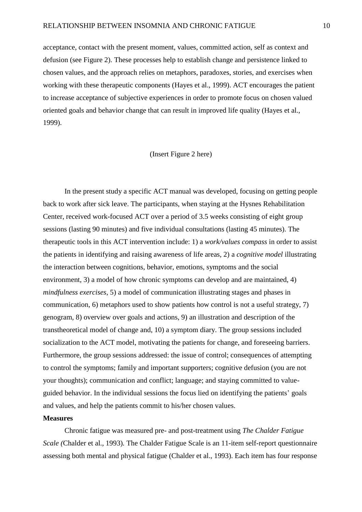acceptance, contact with the present moment, values, committed action, self as context and defusion (see Figure 2). These processes help to establish change and persistence linked to chosen values, and the approach relies on metaphors, paradoxes, stories, and exercises when working with these therapeutic components (Hayes et al., 1999). ACT encourages the patient to increase acceptance of subjective experiences in order to promote focus on chosen valued oriented goals and behavior change that can result in improved life quality (Hayes et al., 1999).

### (Insert Figure 2 here)

In the present study a specific ACT manual was developed, focusing on getting people back to work after sick leave. The participants, when staying at the Hysnes Rehabilitation Center, received work-focused ACT over a period of 3.5 weeks consisting of eight group sessions (lasting 90 minutes) and five individual consultations (lasting 45 minutes). The therapeutic tools in this ACT intervention include: 1) a *work/values compass* in order to assist the patients in identifying and raising awareness of life areas, 2) a *cognitive model* illustrating the interaction between cognitions, behavior, emotions, symptoms and the social environment, 3) a model of how chronic symptoms can develop and are maintained, 4) *mindfulness exercises*, 5) a model of communication illustrating stages and phases in communication, 6) metaphors used to show patients how control is not a useful strategy, 7) genogram, 8) overview over goals and actions, 9) an illustration and description of the transtheoretical model of change and, 10) a symptom diary. The group sessions included socialization to the ACT model, motivating the patients for change, and foreseeing barriers. Furthermore, the group sessions addressed: the issue of control; consequences of attempting to control the symptoms; family and important supporters; cognitive defusion (you are not your thoughts); communication and conflict; language; and staying committed to valueguided behavior. In the individual sessions the focus lied on identifying the patients' goals and values, and help the patients commit to his/her chosen values.

### **Measures**

Chronic fatigue was measured pre- and post-treatment using *The Chalder Fatigue Scale (*Chalder et al., 1993)*.* The Chalder Fatigue Scale is an 11-item self-report questionnaire assessing both mental and physical fatigue (Chalder et al., 1993). Each item has four response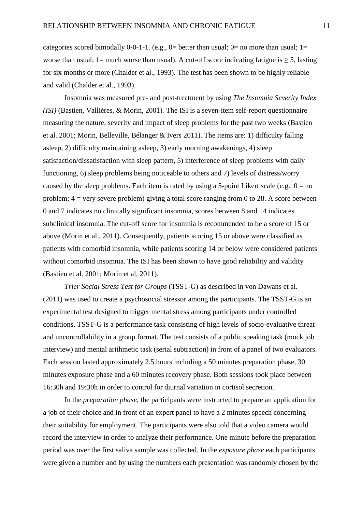categories scored bimodally 0-0-1-1. (e.g.,  $0=$  better than usual;  $0=$  no more than usual;  $1=$ worse than usual; 1= much worse than usual). A cut-off score indicating fatigue is  $\geq 5$ , lasting for six months or more (Chalder et al., 1993). The test has been shown to be highly reliable and valid (Chalder et al., 1993).

Insomnia was measured pre- and post-treatment by using *The Insomnia Severity Index (ISI)* (Bastien, Vallières, & Morin, 2001)*.* The ISI is a seven-item self-report questionnaire measuring the nature, severity and impact of sleep problems for the past two weeks (Bastien et al. 2001; Morin, Belleville, Bélanger & Ivers 2011). The items are: 1) difficulty falling asleep, 2) difficulty maintaining asleep, 3) early morning awakenings, 4) sleep satisfaction/dissatisfaction with sleep pattern, 5) interference of sleep problems with daily functioning, 6) sleep problems being noticeable to others and 7) levels of distress/worry caused by the sleep problems. Each item is rated by using a 5-point Likert scale (e.g.,  $0 = no$ ) problem;  $4 = \text{very severe problem}$ ) giving a total score ranging from 0 to 28. A score between 0 and 7 indicates no clinically significant insomnia, scores between 8 and 14 indicates subclinical insomnia. The cut-off score for insomnia is recommended to be a score of 15 or above (Morin et al., 2011). Consequently, patients scoring 15 or above were classified as patients with comorbid insomnia, while patients scoring 14 or below were considered patients without comorbid insomnia. The ISI has been shown to have good reliability and validity (Bastien et al. 2001; Morin et al. 2011).

*Trier Social Stress Test for Groups* (TSST-G) as described in von Dawans et al. (2011) was used to create a psychosocial stressor among the participants. The TSST-G is an experimental test designed to trigger mental stress among participants under controlled conditions. TSST-G is a performance task consisting of high levels of socio-evaluative threat and uncontrollability in a group format. The test consists of a public speaking task (mock job interview) and mental arithmetic task (serial subtraction) in front of a panel of two evaluators. Each session lasted approximately 2.5 hours including a 50 minutes preparation phase, 30 minutes exposure phase and a 60 minutes recovery phase. Both sessions took place between 16:30h and 19:30h in order to control for diurnal variation in cortisol secretion.

In the *preparation phase*, the participants were instructed to prepare an application for a job of their choice and in front of an expert panel to have a 2 minutes speech concerning their suitability for employment. The participants were also told that a video camera would record the interview in order to analyze their performance. One minute before the preparation period was over the first saliva sample was collected. In the *exposure phase* each participants were given a number and by using the numbers each presentation was randomly chosen by the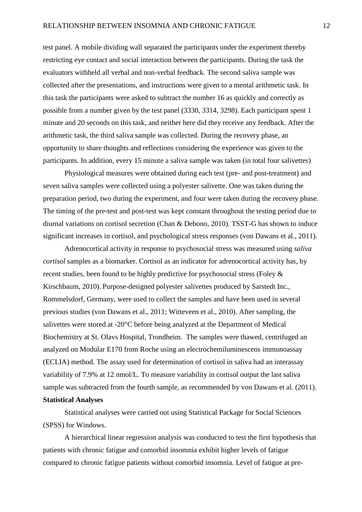test panel. A mobile dividing wall separated the participants under the experiment thereby restricting eye contact and social interaction between the participants. During the task the evaluators withheld all verbal and non-verbal feedback. The second saliva sample was collected after the presentations, and instructions were given to a mental arithmetic task. In this task the participants were asked to subtract the number 16 as quickly and correctly as possible from a number given by the test panel (3330, 3314, 3298). Each participant spent 1 minute and 20 seconds on this task, and neither here did they receive any feedback. After the arithmetic task, the third saliva sample was collected. During the recovery phase, an opportunity to share thoughts and reflections considering the experience was given to the participants. In addition, every 15 minute a saliva sample was taken (in total four salivettes)

Physiological measures were obtained during each test (pre- and post-treatment) and seven saliva samples were collected using a polyester salivette. One was taken during the preparation period, two during the experiment, and four were taken during the recovery phase. The timing of the pre-test and post-test was kept constant throughout the testing period due to diurnal variations on cortisol secretion (Chan & Debono, 2010). TSST-G has shown to induce significant increases in cortisol, and psychological stress responses (von Dawans et al., 2011).

Adrenocortical activity in response to psychosocial stress was measured using *saliva cortisol* samples as a biomarker. Cortisol as an indicator for adrenocortical activity has, by recent studies, been found to be highly predictive for psychosocial stress (Foley & Kirschbaum, 2010). Purpose-designed polyester salivettes produced by Sarstedt Inc., Rommelsdorf, Germany, were used to collect the samples and have been used in several previous studies (von Dawans et al., 2011; Witteveen et al., 2010). After sampling, the salivettes were stored at -20°C before being analyzed at the Department of Medical Biochemistry at St. Olavs Hospital, Trondheim. The samples were thawed, centrifuged an analyzed on Modular E170 from Roche using an electrochemiluminescens immunoassay (ECLIA) method. The assay used for determination of cortisol in saliva had an interassay variability of 7.9% at 12 nmol/L. To measure variability in cortisol output the last saliva sample was subtracted from the fourth sample, as recommended by von Dawans et al. (2011). **Statistical Analyses**

Statistical analyses were carried out using Statistical Package for Social Sciences (SPSS) for Windows.

A hierarchical linear regression analysis was conducted to test the first hypothesis that patients with chronic fatigue and comorbid insomnia exhibit higher levels of fatigue compared to chronic fatigue patients without comorbid insomnia. Level of fatigue at pre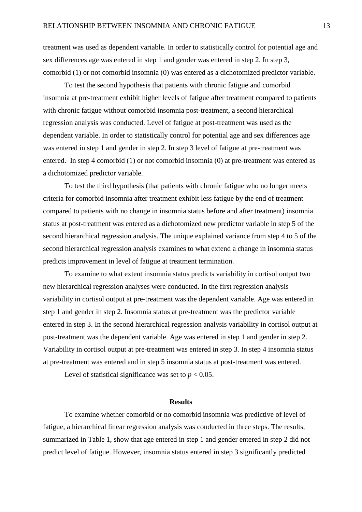treatment was used as dependent variable. In order to statistically control for potential age and sex differences age was entered in step 1 and gender was entered in step 2. In step 3, comorbid (1) or not comorbid insomnia (0) was entered as a dichotomized predictor variable.

To test the second hypothesis that patients with chronic fatigue and comorbid insomnia at pre-treatment exhibit higher levels of fatigue after treatment compared to patients with chronic fatigue without comorbid insomnia post-treatment, a second hierarchical regression analysis was conducted. Level of fatigue at post-treatment was used as the dependent variable. In order to statistically control for potential age and sex differences age was entered in step 1 and gender in step 2. In step 3 level of fatigue at pre-treatment was entered. In step 4 comorbid (1) or not comorbid insomnia (0) at pre-treatment was entered as a dichotomized predictor variable.

To test the third hypothesis (that patients with chronic fatigue who no longer meets criteria for comorbid insomnia after treatment exhibit less fatigue by the end of treatment compared to patients with no change in insomnia status before and after treatment) insomnia status at post-treatment was entered as a dichotomized new predictor variable in step 5 of the second hierarchical regression analysis. The unique explained variance from step 4 to 5 of the second hierarchical regression analysis examines to what extend a change in insomnia status predicts improvement in level of fatigue at treatment termination.

To examine to what extent insomnia status predicts variability in cortisol output two new hierarchical regression analyses were conducted. In the first regression analysis variability in cortisol output at pre-treatment was the dependent variable. Age was entered in step 1 and gender in step 2. Insomnia status at pre-treatment was the predictor variable entered in step 3. In the second hierarchical regression analysis variability in cortisol output at post-treatment was the dependent variable. Age was entered in step 1 and gender in step 2. Variability in cortisol output at pre-treatment was entered in step 3. In step 4 insomnia status at pre-treatment was entered and in step 5 insomnia status at post-treatment was entered.

Level of statistical significance was set to  $p < 0.05$ .

#### **Results**

To examine whether comorbid or no comorbid insomnia was predictive of level of fatigue, a hierarchical linear regression analysis was conducted in three steps. The results, summarized in Table 1, show that age entered in step 1 and gender entered in step 2 did not predict level of fatigue. However, insomnia status entered in step 3 significantly predicted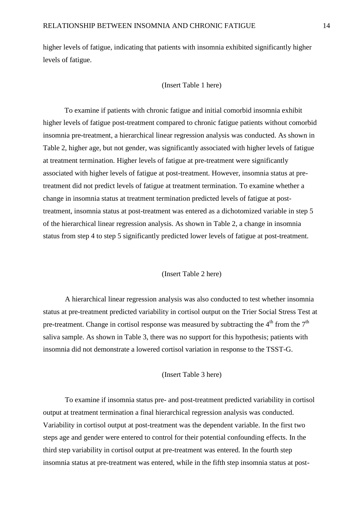higher levels of fatigue, indicating that patients with insomnia exhibited significantly higher levels of fatigue.

(Insert Table 1 here)

To examine if patients with chronic fatigue and initial comorbid insomnia exhibit higher levels of fatigue post-treatment compared to chronic fatigue patients without comorbid insomnia pre-treatment, a hierarchical linear regression analysis was conducted. As shown in Table 2, higher age, but not gender, was significantly associated with higher levels of fatigue at treatment termination. Higher levels of fatigue at pre-treatment were significantly associated with higher levels of fatigue at post-treatment. However, insomnia status at pretreatment did not predict levels of fatigue at treatment termination. To examine whether a change in insomnia status at treatment termination predicted levels of fatigue at posttreatment, insomnia status at post-treatment was entered as a dichotomized variable in step 5 of the hierarchical linear regression analysis. As shown in Table 2, a change in insomnia status from step 4 to step 5 significantly predicted lower levels of fatigue at post-treatment.

#### (Insert Table 2 here)

A hierarchical linear regression analysis was also conducted to test whether insomnia status at pre-treatment predicted variability in cortisol output on the Trier Social Stress Test at pre-treatment. Change in cortisol response was measured by subtracting the  $4<sup>th</sup>$  from the  $7<sup>th</sup>$ saliva sample. As shown in Table 3, there was no support for this hypothesis; patients with insomnia did not demonstrate a lowered cortisol variation in response to the TSST-G.

### (Insert Table 3 here)

To examine if insomnia status pre- and post-treatment predicted variability in cortisol output at treatment termination a final hierarchical regression analysis was conducted. Variability in cortisol output at post-treatment was the dependent variable. In the first two steps age and gender were entered to control for their potential confounding effects. In the third step variability in cortisol output at pre-treatment was entered. In the fourth step insomnia status at pre-treatment was entered, while in the fifth step insomnia status at post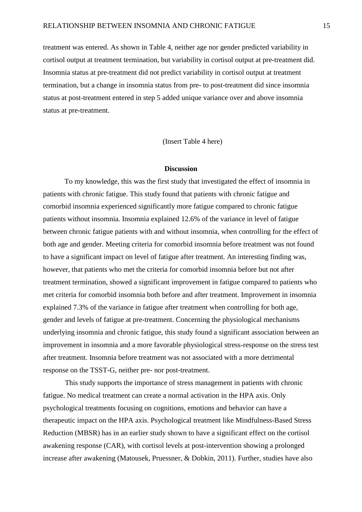treatment was entered. As shown in Table 4, neither age nor gender predicted variability in cortisol output at treatment termination, but variability in cortisol output at pre-treatment did. Insomnia status at pre-treatment did not predict variability in cortisol output at treatment termination, but a change in insomnia status from pre- to post-treatment did since insomnia status at post-treatment entered in step 5 added unique variance over and above insomnia status at pre-treatment.

(Insert Table 4 here)

#### **Discussion**

To my knowledge, this was the first study that investigated the effect of insomnia in patients with chronic fatigue. This study found that patients with chronic fatigue and comorbid insomnia experienced significantly more fatigue compared to chronic fatigue patients without insomnia. Insomnia explained 12.6% of the variance in level of fatigue between chronic fatigue patients with and without insomnia, when controlling for the effect of both age and gender. Meeting criteria for comorbid insomnia before treatment was not found to have a significant impact on level of fatigue after treatment. An interesting finding was, however, that patients who met the criteria for comorbid insomnia before but not after treatment termination, showed a significant improvement in fatigue compared to patients who met criteria for comorbid insomnia both before and after treatment. Improvement in insomnia explained 7.3% of the variance in fatigue after treatment when controlling for both age, gender and levels of fatigue at pre-treatment. Concerning the physiological mechanisms underlying insomnia and chronic fatigue, this study found a significant association between an improvement in insomnia and a more favorable physiological stress-response on the stress test after treatment. Insomnia before treatment was not associated with a more detrimental response on the TSST-G, neither pre- nor post-treatment.

This study supports the importance of stress management in patients with chronic fatigue. No medical treatment can create a normal activation in the HPA axis. Only psychological treatments focusing on cognitions, emotions and behavior can have a therapeutic impact on the HPA axis. Psychological treatment like Mindfulness-Based Stress Reduction (MBSR) has in an earlier study shown to have a significant effect on the cortisol awakening response (CAR), with cortisol levels at post-intervention showing a prolonged increase after awakening (Matousek, Pruessner, & Dobkin, 2011). Further, studies have also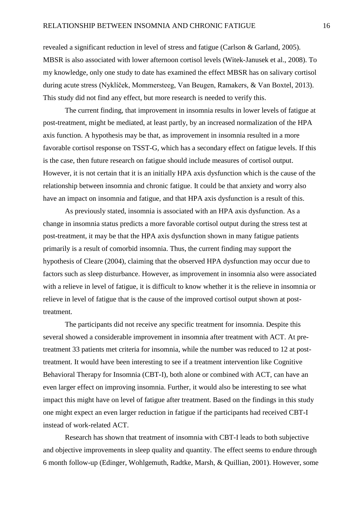revealed a significant reduction in level of stress and fatigue (Carlson & Garland, 2005). MBSR is also associated with lower afternoon cortisol levels (Witek-Janusek et al., 2008). To my knowledge, only one study to date has examined the effect MBSR has on salivary cortisol during acute stress (Nyklíček, Mommersteeg, Van Beugen, Ramakers, & Van Boxtel, 2013). This study did not find any effect, but more research is needed to verify this.

The current finding, that improvement in insomnia results in lower levels of fatigue at post-treatment, might be mediated, at least partly, by an increased normalization of the HPA axis function. A hypothesis may be that, as improvement in insomnia resulted in a more favorable cortisol response on TSST-G, which has a secondary effect on fatigue levels. If this is the case, then future research on fatigue should include measures of cortisol output. However, it is not certain that it is an initially HPA axis dysfunction which is the cause of the relationship between insomnia and chronic fatigue. It could be that anxiety and worry also have an impact on insomnia and fatigue, and that HPA axis dysfunction is a result of this.

As previously stated, insomnia is associated with an HPA axis dysfunction. As a change in insomnia status predicts a more favorable cortisol output during the stress test at post-treatment, it may be that the HPA axis dysfunction shown in many fatigue patients primarily is a result of comorbid insomnia. Thus, the current finding may support the hypothesis of Cleare (2004), claiming that the observed HPA dysfunction may occur due to factors such as sleep disturbance. However, as improvement in insomnia also were associated with a relieve in level of fatigue, it is difficult to know whether it is the relieve in insomnia or relieve in level of fatigue that is the cause of the improved cortisol output shown at posttreatment.

The participants did not receive any specific treatment for insomnia. Despite this several showed a considerable improvement in insomnia after treatment with ACT. At pretreatment 33 patients met criteria for insomnia, while the number was reduced to 12 at posttreatment. It would have been interesting to see if a treatment intervention like Cognitive Behavioral Therapy for Insomnia (CBT-I), both alone or combined with ACT, can have an even larger effect on improving insomnia. Further, it would also be interesting to see what impact this might have on level of fatigue after treatment. Based on the findings in this study one might expect an even larger reduction in fatigue if the participants had received CBT-I instead of work-related ACT.

Research has shown that treatment of insomnia with CBT-I leads to both subjective and objective improvements in sleep quality and quantity. The effect seems to endure through 6 month follow-up (Edinger, Wohlgemuth, Radtke, Marsh, & Quillian, 2001). However, some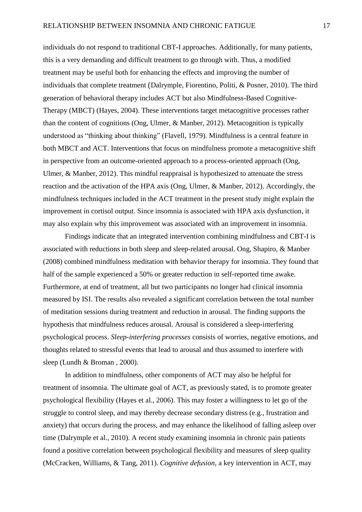individuals do not respond to traditional CBT-I approaches. Additionally, for many patients, this is a very demanding and difficult treatment to go through with. Thus, a modified treatment may be useful both for enhancing the effects and improving the number of individuals that complete treatment (Dalrymple, Fiorentino, Politi, & Posner, 2010). The third generation of behavioral therapy includes ACT but also Mindfulness-Based Cognitive-Therapy (MBCT) (Hayes, 2004). These interventions target metacognitive processes rather than the content of cognitions (Ong, Ulmer, & Manber, 2012). Metacognition is typically understood as "thinking about thinking" (Flavell, 1979). Mindfulness is a central feature in both MBCT and ACT. Interventions that focus on mindfulness promote a metacognitive shift in perspective from an outcome-oriented approach to a process-oriented approach (Ong, Ulmer, & Manber, 2012). This mindful reappraisal is hypothesized to attenuate the stress reaction and the activation of the HPA axis (Ong, Ulmer, & Manber, 2012). Accordingly, the mindfulness techniques included in the ACT treatment in the present study might explain the improvement in cortisol output. Since insomnia is associated with HPA axis dysfunction, it may also explain why this improvement was associated with an improvement in insomnia.

Findings indicate that an integrated intervention combining mindfulness and CBT-I is associated with reductions in both sleep and sleep-related arousal. Ong, Shapiro, & Manber (2008) combined mindfulness meditation with behavior therapy for insomnia. They found that half of the sample experienced a 50% or greater reduction in self-reported time awake. Furthermore, at end of treatment, all but two participants no longer had clinical insomnia measured by ISI. The results also revealed a significant correlation between the total number of meditation sessions during treatment and reduction in arousal. The finding supports the hypothesis that mindfulness reduces arousal. Arousal is considered a sleep-interfering psychological process. *Sleep-interfering processes* consists of worries, negative emotions, and thoughts related to stressful events that lead to arousal and thus assumed to interfere with sleep (Lundh & Broman , 2000).

In addition to mindfulness, other components of ACT may also be helpful for treatment of insomnia. The ultimate goal of ACT, as previously stated, is to promote greater psychological flexibility (Hayes et al., 2006). This may foster a willingness to let go of the struggle to control sleep, and may thereby decrease secondary distress (e.g., frustration and anxiety) that occurs during the process, and may enhance the likelihood of falling asleep over time (Dalrymple et al., 2010). A recent study examining insomnia in chronic pain patients found a positive correlation between psychological flexibility and measures of sleep quality (McCracken, Williams, & Tang, 2011). *Cognitive defusion*, a key intervention in ACT, may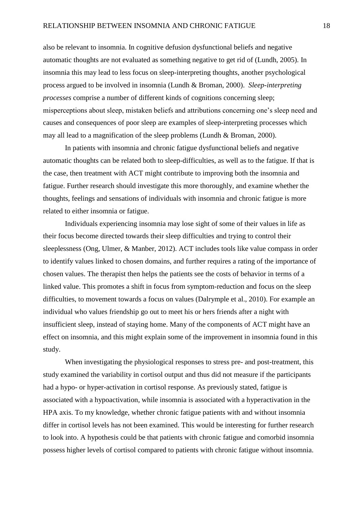also be relevant to insomnia. In cognitive defusion dysfunctional beliefs and negative automatic thoughts are not evaluated as something negative to get rid of (Lundh, 2005). In insomnia this may lead to less focus on sleep-interpreting thoughts, another psychological process argued to be involved in insomnia (Lundh & Broman, 2000). *Sleep-interpreting processes* comprise a number of different kinds of cognitions concerning sleep; misperceptions about sleep, mistaken beliefs and attributions concerning one's sleep need and causes and consequences of poor sleep are examples of sleep-interpreting processes which may all lead to a magnification of the sleep problems (Lundh & Broman, 2000).

In patients with insomnia and chronic fatigue dysfunctional beliefs and negative automatic thoughts can be related both to sleep-difficulties, as well as to the fatigue. If that is the case, then treatment with ACT might contribute to improving both the insomnia and fatigue. Further research should investigate this more thoroughly, and examine whether the thoughts, feelings and sensations of individuals with insomnia and chronic fatigue is more related to either insomnia or fatigue.

Individuals experiencing insomnia may lose sight of some of their values in life as their focus become directed towards their sleep difficulties and trying to control their sleeplessness (Ong, Ulmer, & Manber, 2012). ACT includes tools like value compass in order to identify values linked to chosen domains, and further requires a rating of the importance of chosen values. The therapist then helps the patients see the costs of behavior in terms of a linked value. This promotes a shift in focus from symptom-reduction and focus on the sleep difficulties, to movement towards a focus on values (Dalrymple et al., 2010). For example an individual who values friendship go out to meet his or hers friends after a night with insufficient sleep, instead of staying home. Many of the components of ACT might have an effect on insomnia, and this might explain some of the improvement in insomnia found in this study.

When investigating the physiological responses to stress pre- and post-treatment, this study examined the variability in cortisol output and thus did not measure if the participants had a hypo- or hyper-activation in cortisol response. As previously stated, fatigue is associated with a hypoactivation, while insomnia is associated with a hyperactivation in the HPA axis. To my knowledge, whether chronic fatigue patients with and without insomnia differ in cortisol levels has not been examined. This would be interesting for further research to look into. A hypothesis could be that patients with chronic fatigue and comorbid insomnia possess higher levels of cortisol compared to patients with chronic fatigue without insomnia.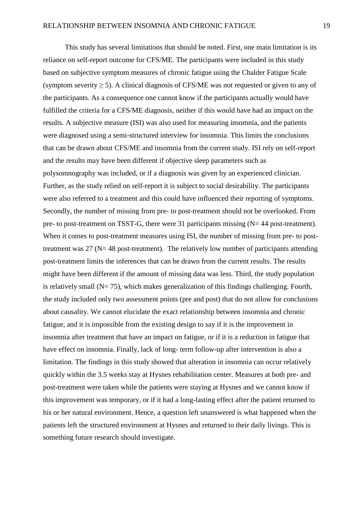This study has several limitations that should be noted. First, one main limitation is its reliance on self-report outcome for CFS/ME. The participants were included in this study based on subjective symptom measures of chronic fatigue using the Chalder Fatigue Scale (symptom severity  $\geq$  5). A clinical diagnosis of CFS/ME was not requested or given to any of the participants. As a consequence one cannot know if the participants actually would have fulfilled the criteria for a CFS/ME diagnosis, neither if this would have had an impact on the results. A subjective measure (ISI) was also used for measuring insomnia, and the patients were diagnosed using a semi-structured interview for insomnia. This limits the conclusions that can be drawn about CFS/ME and insomnia from the current study. ISI rely on self-report and the results may have been different if objective sleep parameters such as polysomnography was included, or if a diagnosis was given by an experienced clinician. Further, as the study relied on self-report it is subject to social desirability. The participants were also referred to a treatment and this could have influenced their reporting of symptoms. Secondly, the number of missing from pre- to post-treatment should not be overlooked. From pre- to post-treatment on TSST-G, there were 31 participants missing  $(N=44 \text{ post-treatment})$ . When it comes to post-treatment measures using ISI, the number of missing from pre- to posttreatment was  $27$  (N= 48 post-treatment). The relatively low number of participants attending post-treatment limits the inferences that can be drawn from the current results. The results might have been different if the amount of missing data was less. Third, the study population is relatively small ( $N= 75$ ), which makes generalization of this findings challenging. Fourth, the study included only two assessment points (pre and post) that do not allow for conclusions about causality. We cannot elucidate the exact relationship between insomnia and chronic fatigue, and it is impossible from the existing design to say if it is the improvement in insomnia after treatment that have an impact on fatigue, or if it is a reduction in fatigue that have effect on insomnia. Finally, lack of long- term follow-up after intervention is also a limitation. The findings in this study showed that alteration in insomnia can occur relatively quickly within the 3.5 weeks stay at Hysnes rehabilitation center. Measures at both pre- and post-treatment were taken while the patients were staying at Hysnes and we cannot know if this improvement was temporary, or if it had a long-lasting effect after the patient returned to his or her natural environment. Hence, a question left unanswered is what happened when the patients left the structured environment at Hysnes and returned to their daily livings. This is something future research should investigate.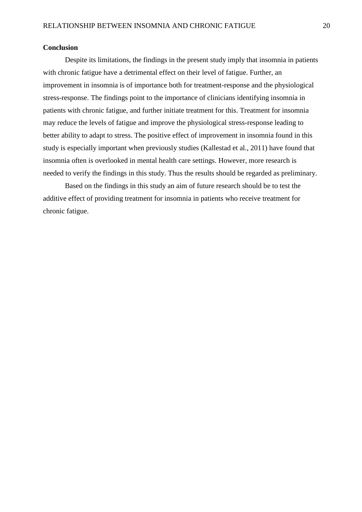### **Conclusion**

Despite its limitations, the findings in the present study imply that insomnia in patients with chronic fatigue have a detrimental effect on their level of fatigue. Further, an improvement in insomnia is of importance both for treatment-response and the physiological stress-response. The findings point to the importance of clinicians identifying insomnia in patients with chronic fatigue, and further initiate treatment for this. Treatment for insomnia may reduce the levels of fatigue and improve the physiological stress-response leading to better ability to adapt to stress. The positive effect of improvement in insomnia found in this study is especially important when previously studies (Kallestad et al., 2011) have found that insomnia often is overlooked in mental health care settings. However, more research is needed to verify the findings in this study. Thus the results should be regarded as preliminary.

Based on the findings in this study an aim of future research should be to test the additive effect of providing treatment for insomnia in patients who receive treatment for chronic fatigue.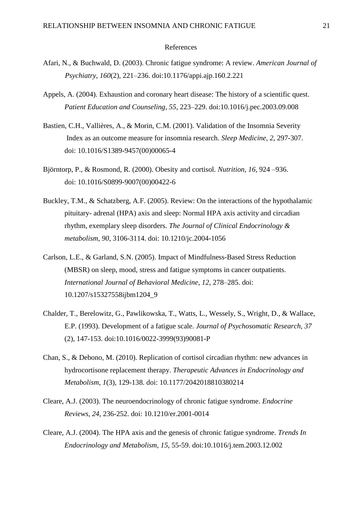#### References

- Afari, N., & Buchwald, D. (2003). Chronic fatigue syndrome: A review. *American Journal of Psychiatry, 160*(2), 221–236. doi:10.1176/appi.ajp.160.2.221
- Appels, A. (2004). Exhaustion and coronary heart disease: The history of a scientific quest. *Patient Education and Counseling*, *55*, 223–229. doi:10.1016/j.pec.2003.09.008
- Bastien, C.H., Vallières, A., & Morin, C.M. (2001). Validation of the Insomnia Severity Index as an outcome measure for insomnia research. *Sleep Medicine*, *2*, 297-307. [doi: 10.1016/S1389-9457\(00\)00065-4](http://dx.doi.org/10.1016/S1389-9457%2800%2900065-4)
- Björntorp, P., & Rosmond, R. (2000). Obesity and cortisol. *Nutrition*, *16*, 924 –936. [doi: 10.1016/S0899-9007\(00\)00422-6](http://dx.doi.org/10.1016/S0899-9007%2800%2900422-6)
- Buckley, T.M., & Schatzberg, A.F. (2005). Review: On the interactions of the hypothalamic pituitary- adrenal (HPA) axis and sleep: Normal HPA axis activity and circadian rhythm, exemplary sleep disorders. *The Journal of Clinical Endocrinology & metabolism*, *90*, 3106-3114. doi: 10.1210/jc.2004-1056
- Carlson, L.E., & Garland, S.N. (2005). Impact of Mindfulness-Based Stress Reduction (MBSR) on sleep, mood, stress and fatigue symptoms in cancer outpatients. *International Journal of Behavioral Medicine*, *12*, 278–285. doi: 10.1207/s15327558ijbm1204\_9
- Chalder, T., Berelowitz, G., Pawlikowska, T., Watts, L., Wessely, S., Wright, D., & Wallace, E.P. (1993). Development of a fatigue scale. *Journal of Psychosomatic Research, 37* (2), 147-153. [doi:10.1016/0022-3999\(93\)90081-P](http://dx.doi.org/10.1016/0022-3999%2893%2990081-P)
- Chan, S., & Debono, M. (2010). Replication of cortisol circadian rhythm: new advances in hydrocortisone replacement therapy. *Therapeutic Advances in Endocrinology and Metabolism*, *1*(3), 129-138. doi: 10.1177/2042018810380214
- Cleare, A.J. (2003). The neuroendocrinology of chronic fatigue syndrome. *Endocrine Reviews, 24*, 236-252. doi: 10.1210/er.2001-0014
- Cleare, A.J. (2004). The HPA axis and the genesis of chronic fatigue syndrome. *Trends In Endocrinology and Metabolism*, *15*, 55-59. doi:10.1016/j.tem.2003.12.002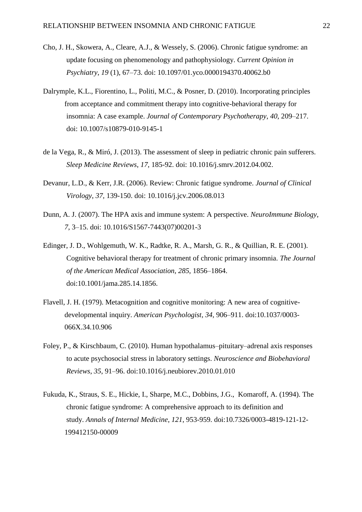- Cho, J. H., Skowera, A., Cleare, A.J., & Wessely, S. (2006). Chronic fatigue syndrome: an update focusing on phenomenology and pathophysiology. *Current Opinion in Psychiatry*, *19* (1), 67–73. doi: [10.1097/01.yco.0000194370.40062.b0](http://dx.doi.org/10.1097%2f01.yco.0000194370.40062.b0)
- Dalrymple, K.L., Fiorentino, L., Politi, M.C., & Posner, D. (2010). Incorporating principles from acceptance and commitment therapy into cognitive-behavioral therapy for insomnia: A case example. *Journal of Contemporary Psychotherapy*, *40*, 209–217. doi: 10.1007/s10879-010-9145-1
- [de la Vega, R.](http://www.ncbi.nlm.nih.gov/pubmed?term=de%20la%20Vega%20R%5BAuthor%5D&cauthor=true&cauthor_uid=22750223), & [Miró, J.](http://www.ncbi.nlm.nih.gov/pubmed?term=Mir%C3%B3%20J%5BAuthor%5D&cauthor=true&cauthor_uid=22750223) (2013). The assessment of sleep in pediatric chronic pain sufferers. *Sleep Medicine Reviews*, *17*, 185-92. doi: 10.1016/j.smrv.2012.04.002.
- Devanur, L.D., & Kerr, J.R. (2006). Review: Chronic fatigue syndrome. *Journal of Clinical Virology*, *37,* 139-150. doi: 10.1016/j.jcv.2006.08.013
- Dunn, A. J. (2007). The HPA axis and immune system: A perspective. *[NeuroImmune Biology](http://www.sciencedirect.com/science/bookseries/15677443)*, *7*, 3–15. [doi: 10.1016/S1567-7443\(07\)00201-3](http://dx.doi.org/10.1016/S1567-7443%2807%2900201-3)
- Edinger, J. D., Wohlgemuth, W. K., Radtke, R. A., Marsh, G. R., & Quillian, R. E. (2001). Cognitive behavioral therapy for treatment of chronic primary insomnia. *The Journal of the American Medical Association*, *285*, 1856–1864. doi:10.1001/jama.285.14.1856.
- Flavell, J. H. (1979). Metacognition and cognitive monitoring: A new area of cognitivedevelopmental inquiry. *American Psychologist*, *34*, 906–911. doi:10.1037/0003- 066X.34.10.906
- Foley, P., & Kirschbaum, C. (2010). Human hypothalamus–pituitary–adrenal axis responses to acute psychosocial stress in laboratory settings. *Neuroscience and Biobehavioral Reviews*, *35*, 91–96. doi:10.1016/j.neubiorev.2010.01.010
- Fukuda, K., Straus, S. E., Hickie, I., Sharpe, M.C., Dobbins, J.G., Komaroff, A. (1994). The chronic fatigue syndrome: A comprehensive approach to its definition and study. *Annals of Internal Medicine*, *121*, 953-959. doi:10.7326/0003-4819-121-12- 199412150-00009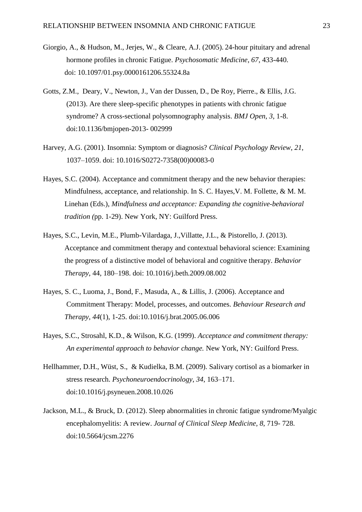- Giorgio, A., & Hudson, M., Jerjes, W., & Cleare, A.J. (2005). 24-hour pituitary and adrenal hormone profiles in chronic Fatigue. *Psychosomatic Medicine*, *67*, 433-440. doi: 10.1097/01.psy.0000161206.55324.8a
- Gotts, Z.M., Deary, V., Newton, J., Van der Dussen, D., De Roy, Pierre., & Ellis, J.G. (2013). Are there sleep-specific phenotypes in patients with chronic fatigue syndrome? A cross-sectional polysomnography analysis. *BMJ Open*, *3*, 1-8. doi:10.1136/bmjopen-2013- 002999
- Harvey, A.G. (2001). Insomnia: Symptom or diagnosis? *Clinical Psychology Review*, *21*, 1037–1059. [doi: 10.1016/S0272-7358\(00\)00083-0](http://dx.doi.org/10.1016/S0272-7358%2800%2900083-0)
- Hayes, S.C. (2004). Acceptance and commitment therapy and the new behavior therapies: Mindfulness, acceptance, and relationship. In S. C. Hayes,V. M. Follette, & M. M. Linehan (Eds.), *Mindfulness and acceptance: Expanding the cognitive-behavioral tradition (*pp. 1-29). New York, NY: Guilford Press.
- Hayes, S.C., Levin, M.E., Plumb-Vilardaga, J.,Villatte, J.L., & Pistorello, J. (2013). Acceptance and commitment therapy and contextual behavioral science: Examining the progress of a distinctive model of behavioral and cognitive therapy. *Behavior Therapy*, 44, 180–198. doi: [10.1016/j.beth.2009.08.002](http://dx.doi.org/10.1016/j.beth.2009.08.002)
- Hayes, S. C., Luoma, J., Bond, F., Masuda, A., & Lillis, J. (2006). Acceptance and Commitment Therapy: Model, processes, and outcomes. *Behaviour Research and Therapy, 44*(1), 1-25. doi:10.1016/j.brat.2005.06.006
- Hayes, S.C., Strosahl, K.D., & Wilson, K.G. (1999). *Acceptance and commitment therapy: An experimental approach to behavior change.* New York, NY: Guilford Press.
- Hellhammer, D.H., Wüst, S., & Kudielka, B.M. (2009). Salivary cortisol as a biomarker in stress research. *Psychoneuroendocrinology*, *34*, 163–171. doi:10.1016/j.psyneuen.2008.10.026
- Jackson, M.L., & Bruck, D. (2012). Sleep abnormalities in chronic fatigue syndrome/Myalgic encephalomyelitis: A review. *Journal of Clinical Sleep Medicine, 8*, 719- 728. doi:10.5664/jcsm.2276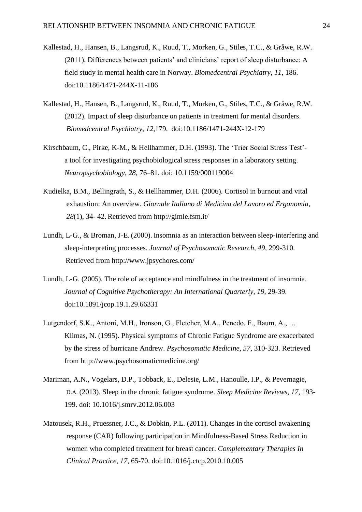- Kallestad, H., Hansen, B., Langsrud, K., Ruud, T., Morken, G., Stiles, T.C., & Gråwe, R.W. (2011). Differences between patients' and clinicians' report of sleep disturbance: A field study in mental health care in Norway. *Biomedcentral Psychiatry*, *11*, 186. doi:10.1186/1471-244X-11-186
- Kallestad, H., Hansen, B., Langsrud, K., Ruud, T., Morken, G., Stiles, T.C., & Gråwe, R.W. (2012). Impact of sleep disturbance on patients in treatment for mental disorders. *Biomedcentral Psychiatry*, *12*,179. doi:10.1186/1471-244X-12-179
- Kirschbaum, C., Pirke, K-M., & Hellhammer, D.H. (1993). The 'Trier Social Stress Test'a tool for investigating psychobiological stress responses in a laboratory setting. *Neuropsychobiology*, *28*, 76–81. doi: 10.1159/000119004
- Kudielka, B.M., Bellingrath, S., & Hellhammer, D.H. (2006). Cortisol in burnout and vital exhaustion: An overview. *Giornale Italiano di Medicina del Lavoro ed Ergonomia*, *28*(1), 34- 42. Retrieved from <http://gimle.fsm.it/>
- Lundh, L-G., & Broman, J-E. (2000). Insomnia as an interaction between sleep-interfering and sleep-interpreting processes. *Journal of Psychosomatic Research*, *49*, 299-310. Retrieved from <http://www.jpsychores.com/>
- Lundh, L-G. (2005). The role of acceptance and mindfulness in the treatment of insomnia. *Journal of Cognitive Psychotherapy: An International Quarterly*, *19*, 29-39. doi[:10.1891/jcop.19.1.29.66331](http://dx.doi.org/10.1891/jcop.19.1.29.66331)
- Lutgendorf, S.K., Antoni, M.H., Ironson, G., Fletcher, M.A., Penedo, F., Baum, A., … Klimas, N. (1995). Physical symptoms of Chronic Fatigue Syndrome are exacerbated by the stress of hurricane Andrew. *Psychosomatic Medicine*, *57*, 310-323. Retrieved from http://www.psychosomaticmedicine.org/
- Mariman, A.N., Vogelars, D.P., Tobback, E., Delesie, L.M., Hanoulle, I.P., & Pevernagie, D.A. (2013). Sleep in the chronic fatigue syndrome. *Sleep Medicine Reviews, 17*, 193- 199. doi: [10.1016/j.smrv.2012.06.003](http://dx.doi.org/10.1016/j.smrv.2012.06.003)
- Matousek, R.H., Pruessner, J.C., & Dobkin, P.L. (2011). Changes in the cortisol awakening response (CAR) following participation in Mindfulness-Based Stress Reduction in women who completed treatment for breast cancer. *Complementary Therapies In Clinical Practice, 17*, 65-70. doi:10.1016/j.ctcp.2010.10.005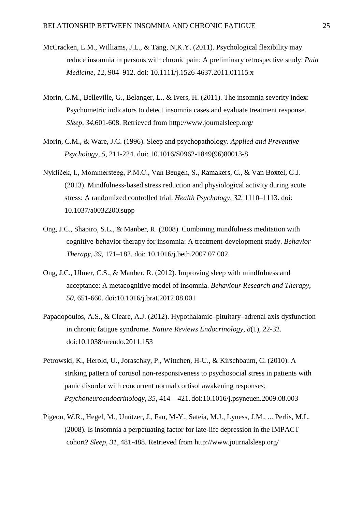- McCracken, L.M., Williams, J.L., & Tang, N,K.Y. (2011). Psychological flexibility may reduce insomnia in persons with chronic pain: A preliminary retrospective study. *Pain Medicine*, *12*, 904–912. doi: 10.1111/j.1526-4637.2011.01115.x
- Morin, C.M., Belleville, G., Belanger, L., & Ivers, H. (2011). The insomnia severity index: Psychometric indicators to detect insomnia cases and evaluate treatment response. *Sleep*, *34*,601-608. Retrieved from http://www.journalsleep.org/
- Morin, C.M., & Ware, J.C. (1996). Sleep and psychopathology. *[Applied and Preventive](http://www.sciencedirect.com/science/journal/09621849) [Psychology](http://www.sciencedirect.com/science/journal/09621849)*, *5*, 211-224. doi: 10.1016/S0962-1849(96)80013-8
- Nyklíček, I., Mommersteeg, P.M.C., Van Beugen, S., Ramakers, C., & Van Boxtel, G.J. (2013). Mindfulness-based stress reduction and physiological activity during acute stress: A randomized controlled trial. *Health Psychology*, *32*, 1110–1113. doi: 10.1037/a0032200.supp
- Ong, J.C., Shapiro, S.L., & Manber, R. (2008). Combining mindfulness meditation with cognitive-behavior therapy for insomnia: A treatment-development study. *Behavior Therapy, 39*, 171–182. doi: 10.1016/j.beth.2007.07.002.
- Ong, J.C., Ulmer, C.S., & Manber, R. (2012). Improving sleep with mindfulness and acceptance: A metacognitive model of insomnia. *Behaviour Research and Therapy*, *50*, 651-660. doi:10.1016/j.brat.2012.08.001
- Papadopoulos, A.S., & Cleare, A.J. (2012). Hypothalamic–pituitary–adrenal axis dysfunction in chronic fatigue syndrome. *Nature Reviews Endocrinology*, *8*(1), 22-32. doi:10.1038/nrendo.2011.153
- Petrowski, K., Herold, U., Joraschky, P., Wittchen, H-U., & Kirschbaum, C. (2010). A striking pattern of cortisol non-responsiveness to psychosocial stress in patients with panic disorder with concurrent normal cortisol awakening responses. *Psychoneuroendocrinology*, *35*, 414—421. doi:10.1016/j.psyneuen.2009.08.003
- Pigeon, W.R., Hegel, M., Unützer, J., Fan, M-Y., Sateia, M.J., Lyness, J.M., ... Perlis, M.L. (2008). Is insomnia a perpetuating factor for late-life depression in the IMPACT cohort? *Sleep*, *31*, 481-488. Retrieved from http://www.journalsleep.org/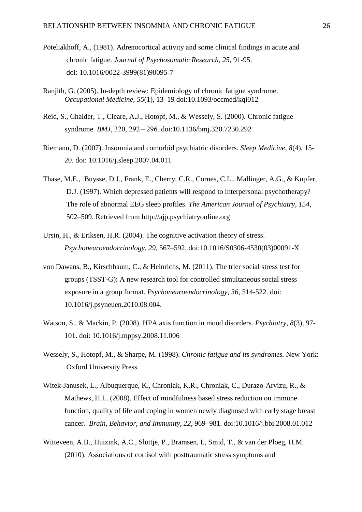- Poteliakhoff, A., (1981). Adrenocortical activity and some clinical findings in acute and chronic fatigue. *Journal of Psychosomatic Research*, *25*, 91-95. [doi: 10.1016/0022-3999\(81\)90095-7](http://dx.doi.org/10.1016/0022-3999%2881%2990095-7)
- Ranjith, G. (2005). In-depth review: Epidemiology of chronic fatigue syndrome. *Occupational Medicine*, *55*(1), 13–19. doi:10.1093/occmed/kqi012
- Reid, S., Chalder, T., Cleare, A.J., Hotopf, M., & Wessely, S. (2000). Chronic fatigue syndrome. *BMJ*, 320, 292 – 296. doi:10.1136/bmj.320.7230.292
- Riemann, D. (2007). Insomnia and comorbid psychiatric disorders. *Sleep Medicine*, *8*(4), 15- 20. doi: 10.1016/j.sleep.2007.04.011
- Thase, M.E., Buysse, D.J., Frank, E., Cherry, C.R., Cornes, C.L., Mallinger, A.G., & Kupfer, D.J. (1997). Which depressed patients will respond to interpersonal psychotherapy? The role of abnormal EEG sleep profiles. *The American Journal of Psychiatry*, *154*, 502–509. Retrieved from [http://ajp.psychiatryonline.org](http://ajp.psychiatryonline.org/)
- Ursin, H., & Eriksen, H.R. (2004). The cognitive activation theory of stress. *[Psychoneuroendocrinology](http://www.sciencedirect.com/science/journal/03064530)*, *29*, 567–592. doi:10.1016/S0306-4530(03)00091-X
- von Dawans, B., Kirschbaum, C., & Heinrichs, M. (2011). The trier social stress test for groups (TSST-G): A new research tool for controlled simultaneous social stress exposure in a group format. *Psychoneuroendocrinology*, *36*, 514-522. doi: 10.1016/j.psyneuen.2010.08.004.
- Watson, S., & Mackin, P. (2008). HPA axis function in mood disorders. *Psychiatry, 8*(3), 97- 101. [doi: 10.1016/j.mppsy.2008.11.006](http://dx.doi.org/10.1016/j.mppsy.2008.11.006)
- Wessely, S., Hotopf, M., & Sharpe, M. (1998). *Chronic fatigue and its syndromes.* New York: Oxford University Press.
- Witek-Janusek, L., Albuquerque, K., Chroniak, K.R., Chroniak, C., Durazo-Arvizu, R., & Mathews, H.L. (2008). Effect of mindfulness based stress reduction on immune function, quality of life and coping in women newly diagnosed with early stage breast cancer. *Brain, Behavior, and Immunity*, *22*, 969–981. doi:10.1016/j.bbi.2008.01.012
- Witteveen, A.B., Huizink, A.C., Slottje, P., Bramsen, I., Smid, T., & van der Ploeg, H.M. (2010). Associations of cortisol with posttraumatic stress symptoms and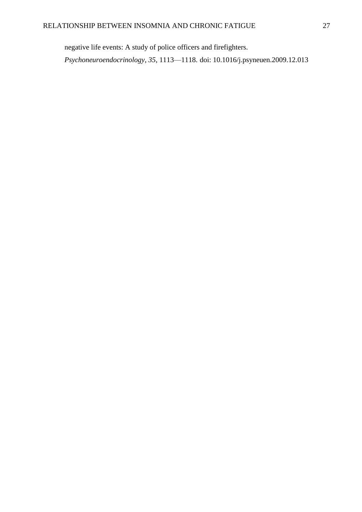negative life events: A study of police officers and firefighters. *Psychoneuroendocrinology*, *35*, 1113—1118. [doi: 10.1016/j.psyneuen.2009.12.013](http://dx.doi.org/10.1016/j.psyneuen.2009.12.013)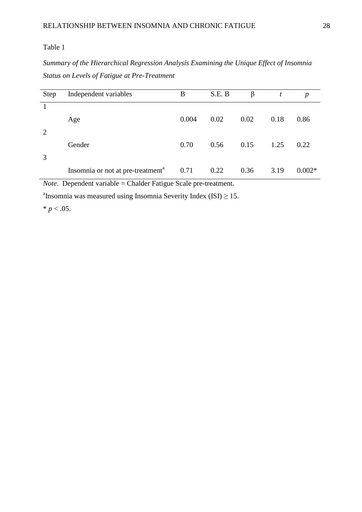*Summary of the Hierarchical Regression Analysis Examining the Unique Effect of Insomnia Status on Levels of Fatigue at Pre-Treatment*

| <b>Step</b>    | Independent variables                                | B     | S.E. B | β    | t    | $\boldsymbol{p}$ |
|----------------|------------------------------------------------------|-------|--------|------|------|------------------|
|                | Age                                                  | 0.004 | 0.02   | 0.02 | 0.18 | 0.86             |
| $\overline{2}$ | Gender                                               | 0.70  | 0.56   | 0.15 | 1.25 | 0.22             |
| 3              | Insomnia or not at pre-treatment <sup>a</sup> $0.71$ |       | 0.22   | 0.36 | 3.19 | $0.002*$         |

*Note*. Dependent variable = Chalder Fatigue Scale pre-treatment.

<sup>a</sup> Insomnia was measured using Insomnia Severity Index (ISI)  $\geq$  15.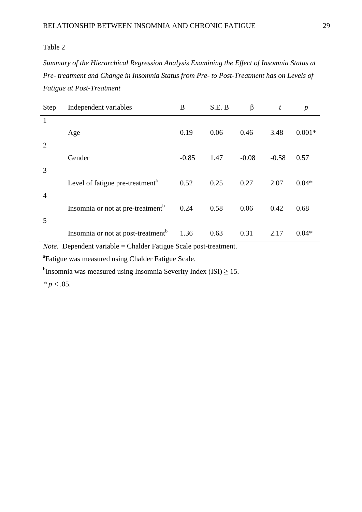*Summary of the Hierarchical Regression Analysis Examining the Effect of Insomnia Status at Pre- treatment and Change in Insomnia Status from Pre- to Post-Treatment has on Levels of Fatigue at Post-Treatment*

| Step           | Independent variables                          | B       | S.E. B | $\beta$ | t       | $\boldsymbol{p}$ |
|----------------|------------------------------------------------|---------|--------|---------|---------|------------------|
| $\mathbf{1}$   |                                                |         |        |         |         |                  |
|                | Age                                            | 0.19    | 0.06   | 0.46    | 3.48    | $0.001*$         |
| $\overline{2}$ |                                                |         |        |         |         |                  |
|                | Gender                                         | $-0.85$ | 1.47   | $-0.08$ | $-0.58$ | 0.57             |
| 3              |                                                |         |        |         |         |                  |
|                | Level of fatigue pre-treatment <sup>a</sup>    | 0.52    | 0.25   | 0.27    | 2.07    | $0.04*$          |
| $\overline{4}$ |                                                |         |        |         |         |                  |
| 5              | Insomnia or not at pre-treatment <sup>b</sup>  | 0.24    | 0.58   | 0.06    | 0.42    | 0.68             |
|                |                                                | 1.36    | 0.63   | 0.31    | 2.17    | $0.04*$          |
|                | Insomnia or not at post-treatment <sup>b</sup> |         |        |         |         |                  |

*Note.* Dependent variable = Chalder Fatigue Scale post-treatment.

<sup>a</sup>Fatigue was measured using Chalder Fatigue Scale.

<sup>b</sup>Insomnia was measured using Insomnia Severity Index (ISI)  $\geq$  15.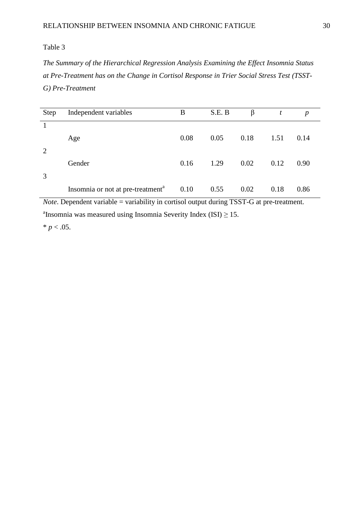*The Summary of the Hierarchical Regression Analysis Examining the Effect Insomnia Status at Pre-Treatment has on the Change in Cortisol Response in Trier Social Stress Test (TSST-G) Pre-Treatment*

| <b>Step</b> | Independent variables                         | B    | S.E. B | β    | t    | $\boldsymbol{p}$ |
|-------------|-----------------------------------------------|------|--------|------|------|------------------|
|             | Age                                           | 0.08 | 0.05   | 0.18 | 1.51 | 0.14             |
| 2           | Gender                                        | 0.16 | 1.29   | 0.02 | 0.12 | 0.90             |
| 3           | Insomnia or not at pre-treatment <sup>a</sup> | 0.10 | 0.55   | 0.02 | 0.18 | 0.86             |

*Note*. Dependent variable = variability in cortisol output during TSST-G at pre-treatment. <sup>a</sup>Insomnia was measured using Insomnia Severity Index (ISI)  $\geq$  15.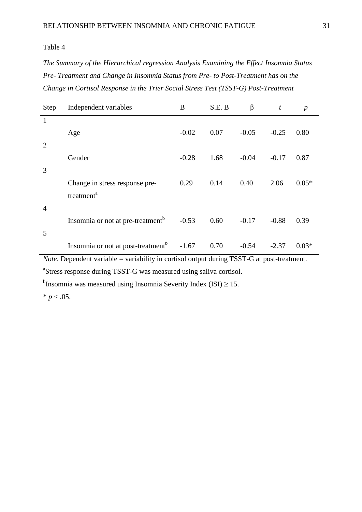*The Summary of the Hierarchical regression Analysis Examining the Effect Insomnia Status Pre- Treatment and Change in Insomnia Status from Pre- to Post-Treatment has on the Change in Cortisol Response in the Trier Social Stress Test (TSST-G) Post-Treatment*

| <b>Step</b>    | Independent variables                                                                                                                                                                                                                                                                                                                                                                                                                                                                                                                                                                                                                                                                                                                                                                                          | B       | S.E. B | β       | t       | $\boldsymbol{p}$ |
|----------------|----------------------------------------------------------------------------------------------------------------------------------------------------------------------------------------------------------------------------------------------------------------------------------------------------------------------------------------------------------------------------------------------------------------------------------------------------------------------------------------------------------------------------------------------------------------------------------------------------------------------------------------------------------------------------------------------------------------------------------------------------------------------------------------------------------------|---------|--------|---------|---------|------------------|
| $\mathbf{1}$   |                                                                                                                                                                                                                                                                                                                                                                                                                                                                                                                                                                                                                                                                                                                                                                                                                |         |        |         |         |                  |
|                | Age                                                                                                                                                                                                                                                                                                                                                                                                                                                                                                                                                                                                                                                                                                                                                                                                            | $-0.02$ | 0.07   | $-0.05$ | $-0.25$ | 0.80             |
| $\overline{2}$ |                                                                                                                                                                                                                                                                                                                                                                                                                                                                                                                                                                                                                                                                                                                                                                                                                |         |        |         |         |                  |
|                | Gender                                                                                                                                                                                                                                                                                                                                                                                                                                                                                                                                                                                                                                                                                                                                                                                                         | $-0.28$ | 1.68   | $-0.04$ | $-0.17$ | 0.87             |
| 3              |                                                                                                                                                                                                                                                                                                                                                                                                                                                                                                                                                                                                                                                                                                                                                                                                                |         |        |         |         |                  |
|                | Change in stress response pre-                                                                                                                                                                                                                                                                                                                                                                                                                                                                                                                                                                                                                                                                                                                                                                                 | 0.29    | 0.14   | 0.40    | 2.06    | $0.05*$          |
|                | treatment <sup>a</sup>                                                                                                                                                                                                                                                                                                                                                                                                                                                                                                                                                                                                                                                                                                                                                                                         |         |        |         |         |                  |
| $\overline{4}$ |                                                                                                                                                                                                                                                                                                                                                                                                                                                                                                                                                                                                                                                                                                                                                                                                                |         |        |         |         |                  |
|                | Insomnia or not at pre-treatment <sup>b</sup>                                                                                                                                                                                                                                                                                                                                                                                                                                                                                                                                                                                                                                                                                                                                                                  | $-0.53$ | 0.60   | $-0.17$ | $-0.88$ | 0.39             |
| 5              |                                                                                                                                                                                                                                                                                                                                                                                                                                                                                                                                                                                                                                                                                                                                                                                                                |         |        |         |         |                  |
|                | Insomnia or not at post-treatment <sup>b</sup><br>$\mathbf{M}$ $\mathbf{D}$ $\mathbf{I}$ $\mathbf{I}$ $\mathbf{I}$ $\mathbf{I}$ $\mathbf{I}$ $\mathbf{I}$ $\mathbf{I}$ $\mathbf{I}$ $\mathbf{I}$ $\mathbf{I}$ $\mathbf{I}$ $\mathbf{I}$ $\mathbf{I}$ $\mathbf{I}$ $\mathbf{I}$ $\mathbf{I}$ $\mathbf{I}$ $\mathbf{I}$ $\mathbf{I}$ $\mathbf{I}$ $\mathbf{I}$ $\mathbf{I}$ $\mathbf{$<br>$\mathbf{1} \mathbf{1} \mathbf{1} \mathbf{1} \mathbf{1} \mathbf{1} \mathbf{1} \mathbf{1} \mathbf{1} \mathbf{1} \mathbf{1} \mathbf{1} \mathbf{1} \mathbf{1} \mathbf{1} \mathbf{1} \mathbf{1} \mathbf{1} \mathbf{1} \mathbf{1} \mathbf{1} \mathbf{1} \mathbf{1} \mathbf{1} \mathbf{1} \mathbf{1} \mathbf{1} \mathbf{1} \mathbf{1} \mathbf{1} \mathbf{1} \mathbf{1} \mathbf{1} \mathbf{1} \mathbf{1} \mathbf{1} \mathbf{$ | $-1.67$ | 0.70   | $-0.54$ | $-2.37$ | $0.03*$          |

*Note*. Dependent variable = variability in cortisol output during TSST-G at post-treatment. <sup>a</sup>Stress response during TSST-G was measured using saliva cortisol.

<sup>b</sup>Insomnia was measured using Insomnia Severity Index (ISI)  $\geq$  15.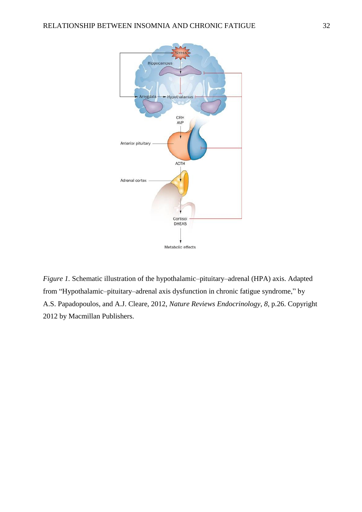

*Figure 1.* Schematic illustration of the hypothalamic–pituitary–adrenal (HPA) axis. Adapted from "Hypothalamic-pituitary-adrenal axis dysfunction in chronic fatigue syndrome," by A.S. Papadopoulos, and A.J. Cleare, 2012, *Nature Reviews Endocrinology*, *8*, p.26. Copyright 2012 by Macmillan Publishers.